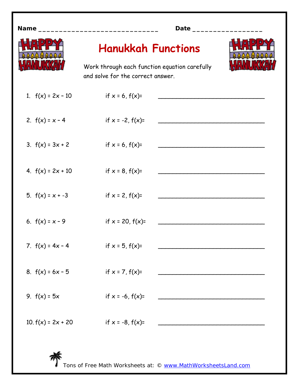| Name_                | Date ___________                                                                                                |  |
|----------------------|-----------------------------------------------------------------------------------------------------------------|--|
|                      | <b>Hanukkah Functions</b><br>Work through each function equation carefully<br>and solve for the correct answer. |  |
| 1. $f(x) = 2x - 10$  | if $x = 6$ , $f(x)=$                                                                                            |  |
| 2. $f(x) = x - 4$    | if $x = -2$ , $f(x)=$                                                                                           |  |
| 3. $f(x) = 3x + 2$   | if $x = 6$ , $f(x)=$                                                                                            |  |
| 4. $f(x) = 2x + 10$  | if $x = 8$ , $f(x)=$                                                                                            |  |
| 5. $f(x) = x - 3$    | if $x = 2$ , $f(x)=$                                                                                            |  |
| 6. $f(x) = x - 9$    | if $x = 20$ , $f(x)=$                                                                                           |  |
| 7. $f(x) = 4x - 4$   | if $x = 5$ , $f(x)=$                                                                                            |  |
| 8. $f(x) = 6x - 5$   | if $x = 7$ , $f(x)=$                                                                                            |  |
| 9. $f(x) = 5x$       | if $x = -6$ , $f(x)=$                                                                                           |  |
| 10. $f(x) = 2x + 20$ | if $x = -8$ , $f(x)=$                                                                                           |  |
|                      |                                                                                                                 |  |

Tons of Free Math Worksheets at: © www.MathWorksheetsLand.com